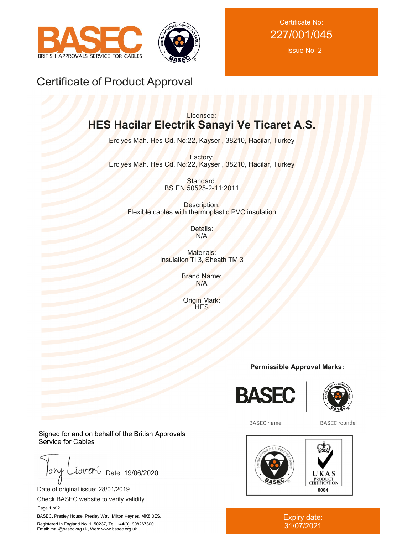



Certificate No: 227/001/045

Issue No: 2

## Certificate of Product Approval

## Licensee: **HES Hacilar Electrik Sanayi Ve Ticaret A.S.**

Erciyes Mah. Hes Cd. No:22, Kayseri, 38210, Hacilar, Turkey

Factory: Erciyes Mah. Hes Cd. No:22, Kayseri, 38210, Hacilar, Turkey

> Standard: BS EN 50525-2-11:2011

Description: Flexible cables with thermoplastic PVC insulation

> Details: N/A

Materials: Insulation TI 3, Sheath TM 3

> Brand Name: N/A

Origin Mark: **HES** 

**Permissible Approval Marks:**





**BASEC** name

**BASEC** roundel



## Expiry date: 31/07/2021

Signed for and on behalf of the British Approvals Service for Cables

 $low$ iover Date: 19/06/2020

Date of original issue: 28/01/2019

Check BASEC website to verify validity.

Page 1 of 2

BASEC, Presley House, Presley Way, Milton Keynes, MK8 0ES, Registered in England No. 1150237, Tel: +44(0)1908267300 Email: mail@basec.org.uk, Web: www.basec.org.uk